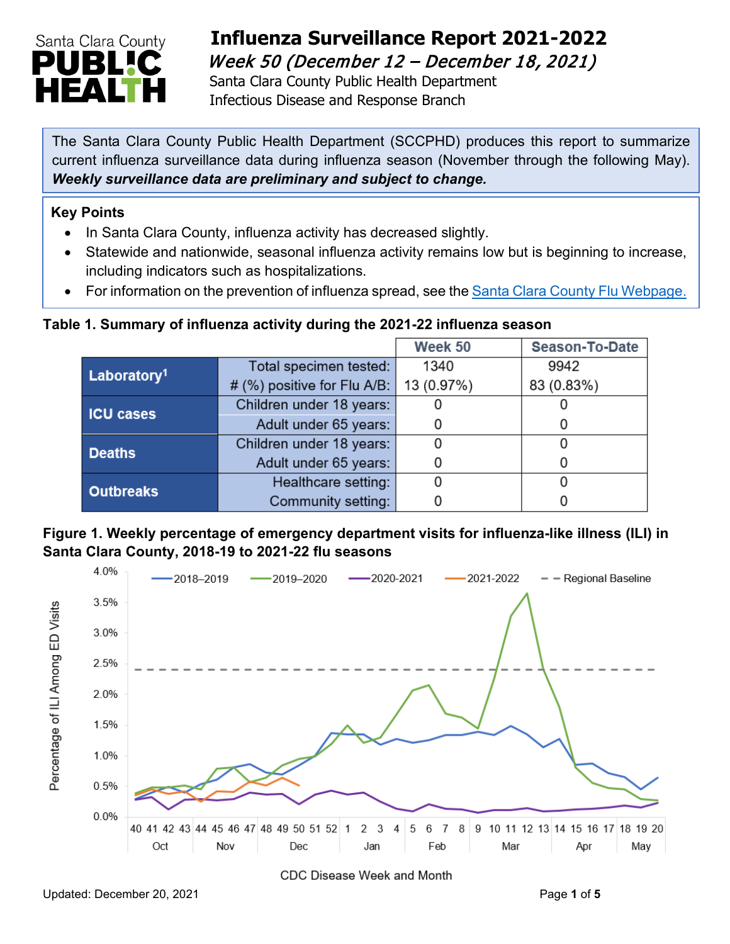

# **Influenza Surveillance Report 2021-2022**  Week 50 (December 12 – December 18, 2021)

Santa Clara County Public Health Department Infectious Disease and Response Branch

The Santa Clara County Public Health Department (SCCPHD) produces this report to summarize current influenza surveillance data during influenza season (November through the following May). *Weekly surveillance data are preliminary and subject to change.*

#### **Key Points**

- In Santa Clara County, influenza activity has decreased slightly.
- Statewide and nationwide, seasonal influenza activity remains low but is beginning to increase, including indicators such as hospitalizations.
- For information on the prevention of influenza spread, see the [Santa Clara County Flu Webpage.](https://publichealth.sccgov.org/disease-information/influenza-flu)

### **Table 1. Summary of influenza activity during the 2021-22 influenza season**

|                         |                             | Week 50    | Season-To-Date |
|-------------------------|-----------------------------|------------|----------------|
| Laboratory <sup>1</sup> | Total specimen tested:      | 1340       | 9942           |
|                         | # (%) positive for Flu A/B: | 13 (0.97%) | 83 (0.83%)     |
| <b>ICU cases</b>        | Children under 18 years:    |            |                |
|                         | Adult under 65 years:       |            |                |
| <b>Deaths</b>           | Children under 18 years:    |            |                |
|                         | Adult under 65 years:       |            |                |
| <b>Outbreaks</b>        | Healthcare setting:         |            |                |
|                         | Community setting:          |            |                |





CDC Disease Week and Month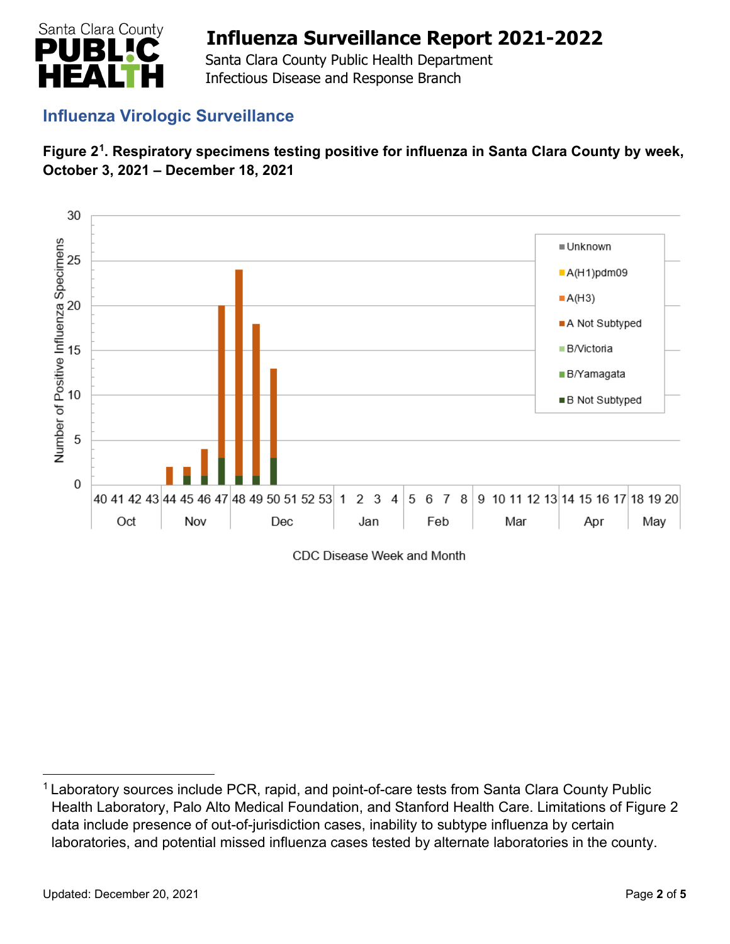

 Santa Clara County Public Health Department Infectious Disease and Response Branch

## **Influenza Virologic Surveillance**





CDC Disease Week and Month

<span id="page-1-0"></span><sup>&</sup>lt;sup>1</sup> Laboratory sources include PCR, rapid, and point-of-care tests from Santa Clara County Public Health Laboratory, Palo Alto Medical Foundation, and Stanford Health Care. Limitations of Figure 2 data include presence of out-of-jurisdiction cases, inability to subtype influenza by certain laboratories, and potential missed influenza cases tested by alternate laboratories in the county.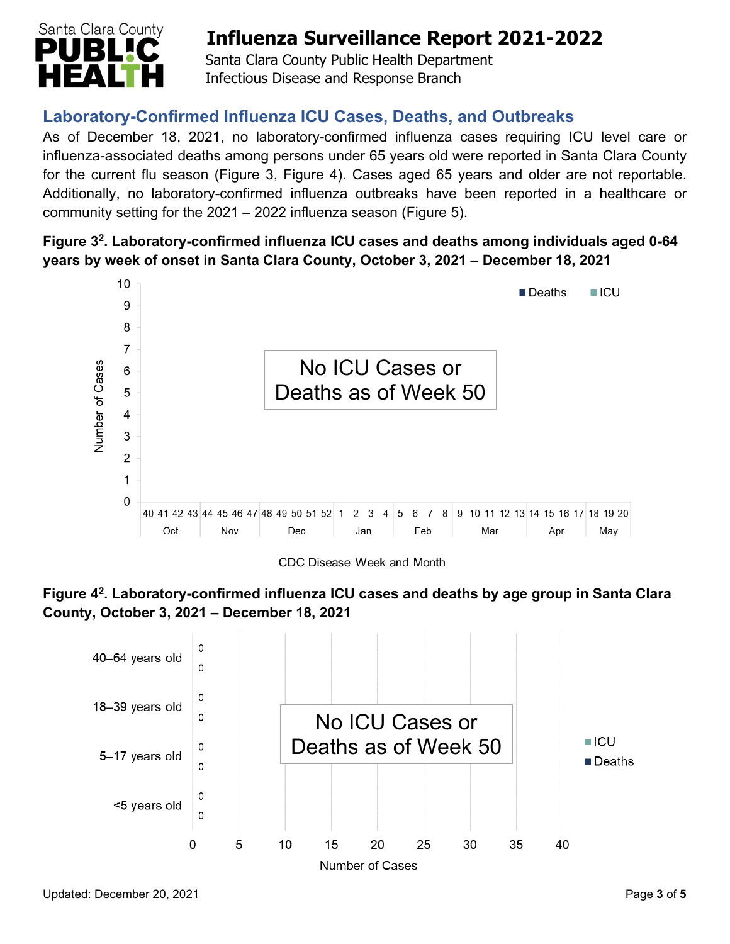

 Santa Clara County Public Health Department Infectious Disease and Response Branch

## **Laboratory-Confirmed Influenza ICU Cases, Deaths, and Outbreaks**

As of December 18, 2021, no laboratory-confirmed influenza cases requiring ICU level care or influenza-associated deaths among persons under 65 years old were reported in Santa Clara County for the current flu season (Figure 3, Figure 4). Cases aged 65 years and older are not reportable. Additionally, no laboratory-confirmed influenza outbreaks have been reported in a healthcare or community setting for the 2021 – 2022 influenza season (Figure 5).

### **Figure 32. Laboratory-confirmed influenza ICU cases and deaths among individuals aged 0-64 years by week of onset in Santa Clara County, October 3, 2021 – December 18, 2021**



**Figure 42. Laboratory-confirmed influenza ICU cases and deaths by age group in Santa Clara County, October 3, 2021 – December 18, 2021** 

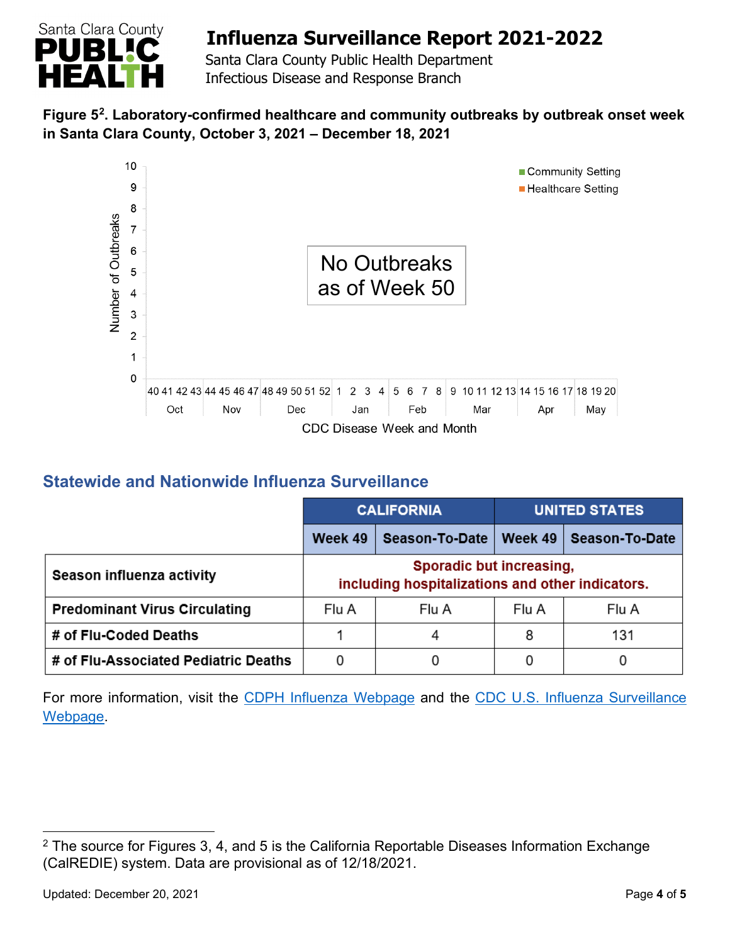

 Santa Clara County Public Health Department Infectious Disease and Response Branch

### **Figure 5[2.](#page-3-0) Laboratory-confirmed healthcare and community outbreaks by outbreak onset week in Santa Clara County, October 3, 2021 – December 18, 2021**



## **Statewide and Nationwide Influenza Surveillance**

|                                      | <b>CALIFORNIA</b>                                                            |                | <b>UNITED STATES</b> |                |  |
|--------------------------------------|------------------------------------------------------------------------------|----------------|----------------------|----------------|--|
|                                      | Week 49                                                                      | Season-To-Date | Week 49              | Season-To-Date |  |
| Season influenza activity            | Sporadic but increasing,<br>including hospitalizations and other indicators. |                |                      |                |  |
| <b>Predominant Virus Circulating</b> | Flu A                                                                        | Flu A          | Flu A                | Flu A          |  |
| # of Flu-Coded Deaths                |                                                                              | 4              | 8                    | 131            |  |
| # of Flu-Associated Pediatric Deaths | 0                                                                            |                | 0                    | 0              |  |

For more information, visit the [CDPH Influenza Webpage](http://www.cdph.ca.gov/Programs/CID/DCDC/Pages/Immunization/Influenza.aspx) and the CDC U.S. Influenza Surveillance [Webpage.](http://www.cdc.gov/flu/weekly/)

<span id="page-3-0"></span> $2$  The source for Figures 3, 4, and 5 is the California Reportable Diseases Information Exchange (CalREDIE) system. Data are provisional as of 12/18/2021.